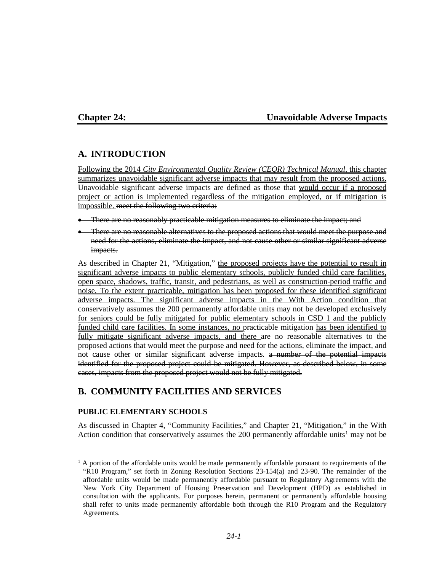### **Chapter 24: Unavoidable Adverse Impacts**

# **A. INTRODUCTION**

Following the 2014 *City Environmental Quality Review (CEQR) Technical Manual*, this chapter summarizes unavoidable significant adverse impacts that may result from the proposed actions. Unavoidable significant adverse impacts are defined as those that would occur if a proposed project or action is implemented regardless of the mitigation employed, or if mitigation is impossible. meet the following two criteria:

- There are no reasonably practicable mitigation measures to eliminate the impact; and
- There are no reasonable alternatives to the proposed actions that would meet the purpose and need for the actions, eliminate the impact, and not cause other or similar significant adverse impacts.

As described in Chapter 21, "Mitigation," the proposed projects have the potential to result in significant adverse impacts to public elementary schools, publicly funded child care facilities, open space, shadows, traffic, transit, and pedestrians, as well as construction-period traffic and noise. To the extent practicable, mitigation has been proposed for these identified significant adverse impacts. The significant adverse impacts in the With Action condition that conservatively assumes the 200 permanently affordable units may not be developed exclusively for seniors could be fully mitigated for public elementary schools in CSD 1 and the publicly funded child care facilities. In some instances, no practicable mitigation has been identified to fully mitigate significant adverse impacts, and there are no reasonable alternatives to the proposed actions that would meet the purpose and need for the actions, eliminate the impact, and not cause other or similar significant adverse impacts. a number of the potential impacts identified for the proposed project could be mitigated. However, as described below, in some cases, impacts from the proposed project would not be fully mitigated.

# **B. COMMUNITY FACILITIES AND SERVICES**

#### **PUBLIC ELEMENTARY SCHOOLS**

 $\overline{a}$ 

As discussed in Chapter 4, "Community Facilities," and Chapter 21, "Mitigation," in the With Action condition that conservatively assumes the  $200$  permanently affordable units<sup>[1](#page-0-0)</sup> may not be

<span id="page-0-0"></span><sup>&</sup>lt;sup>1</sup> A portion of the affordable units would be made permanently affordable pursuant to requirements of the "R10 Program," set forth in Zoning Resolution Sections 23-154(a) and 23-90. The remainder of the affordable units would be made permanently affordable pursuant to Regulatory Agreements with the New York City Department of Housing Preservation and Development (HPD) as established in consultation with the applicants. For purposes herein, permanent or permanently affordable housing shall refer to units made permanently affordable both through the R10 Program and the Regulatory Agreements.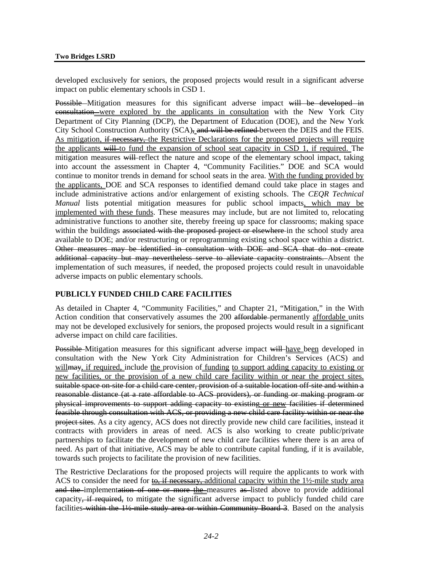developed exclusively for seniors, the proposed projects would result in a significant adverse impact on public elementary schools in CSD 1.

Possible Mitigation measures for this significant adverse impact will be developed in consultation were explored by the applicants in consultation with the New York City Department of City Planning (DCP), the Department of Education (DOE), and the New York City School Construction Authority (SCA), and will be refined between the DEIS and the FEIS. As mitigation, if necessary, the Restrictive Declarations for the proposed projects will require the applicants will to fund the expansion of school seat capacity in CSD 1, if required. The mitigation measures will-reflect the nature and scope of the elementary school impact, taking into account the assessment in Chapter 4, "Community Facilities." DOE and SCA would continue to monitor trends in demand for school seats in the area. With the funding provided by the applicants, DOE and SCA responses to identified demand could take place in stages and include administrative actions and/or enlargement of existing schools. The *CEQR Technical Manual* lists potential mitigation measures for public school impacts, which may be implemented with these funds. These measures may include, but are not limited to, relocating administrative functions to another site, thereby freeing up space for classrooms; making space within the buildings associated with the proposed project or elsewhere in the school study area available to DOE; and/or restructuring or reprogramming existing school space within a district. Other measures may be identified in consultation with DOE and SCA that do not create additional capacity but may nevertheless serve to alleviate capacity constraints. Absent the implementation of such measures, if needed, the proposed projects could result in unavoidable adverse impacts on public elementary schools.

#### **PUBLICLY FUNDED CHILD CARE FACILITIES**

As detailed in Chapter 4, "Community Facilities," and Chapter 21, "Mitigation," in the With Action condition that conservatively assumes the 200 affordable-permanently affordable units may not be developed exclusively for seniors, the proposed projects would result in a significant adverse impact on child care facilities.

Possible Mitigation measures for this significant adverse impact will have been developed in consultation with the New York City Administration for Children's Services (ACS) and will may, if required, include the provision of funding to support adding capacity to existing or new facilities, or the provision of a new child care facility within or near the project sites. suitable space on site for a child care center, provision of a suitable location off-site and within a reasonable distance (at a rate affordable to ACS providers), or funding or making program or physical improvements to support adding capacity to existing or new facilities if determined feasible through consultation with ACS, or providing a new child care facility within or near the project sites. As a city agency, ACS does not directly provide new child care facilities, instead it contracts with providers in areas of need. ACS is also working to create public/private partnerships to facilitate the development of new child care facilities where there is an area of need. As part of that initiative, ACS may be able to contribute capital funding, if it is available, towards such projects to facilitate the provision of new facilities.

The Restrictive Declarations for the proposed projects will require the applicants to work with ACS to consider the need for to, if necessary, additional capacity within the  $1\frac{1}{2}$ -mile study area and the implementation of one or more the measures as listed above to provide additional capacity, if required, to mitigate the significant adverse impact to publicly funded child care facilities within the 1½-mile study area or within Community Board 3. Based on the analysis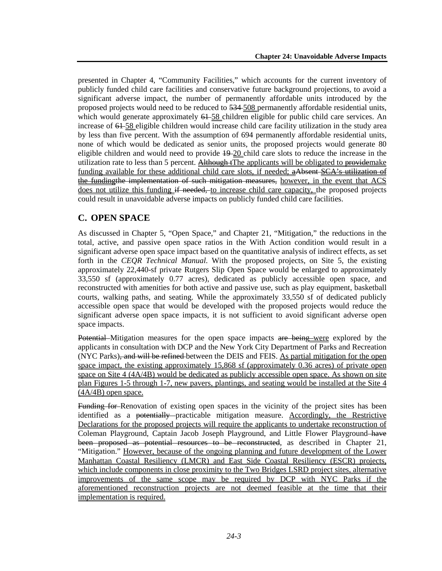presented in Chapter 4, "Community Facilities," which accounts for the current inventory of publicly funded child care facilities and conservative future background projections, to avoid a significant adverse impact, the number of permanently affordable units introduced by the proposed projects would need to be reduced to  $\overline{534-508}$  permanently affordable residential units, which would generate approximately  $61 - 58$  children eligible for public child care services. An increase of 64–58 eligible children would increase child care facility utilization in the study area by less than five percent. With the assumption of 694 permanently affordable residential units, none of which would be dedicated as senior units, the proposed projects would generate 80 eligible children and would need to provide  $\frac{19-20}{20}$  child care slots to reduce the increase in the utilization rate to less than 5 percent. Although tThe applicants will be obligated to providemake funding available for these additional child care slots, if needed; aAbsent SCA's utilization of the fundingthe implementation of such mitigation measures, however, in the event that ACS does not utilize this funding if needed, to increase child care capacity, the proposed projects could result in unavoidable adverse impacts on publicly funded child care facilities.

# **C. OPEN SPACE**

As discussed in Chapter 5, "Open Space," and Chapter 21, "Mitigation," the reductions in the total, active, and passive open space ratios in the With Action condition would result in a significant adverse open space impact based on the quantitative analysis of indirect effects, as set forth in the *CEQR Technical Manual*. With the proposed projects, on Site 5, the existing approximately 22,440-sf private Rutgers Slip Open Space would be enlarged to approximately 33,550 sf (approximately 0.77 acres), dedicated as publicly accessible open space, and reconstructed with amenities for both active and passive use, such as play equipment, basketball courts, walking paths, and seating. While the approximately 33,550 sf of dedicated publicly accessible open space that would be developed with the proposed projects would reduce the significant adverse open space impacts, it is not sufficient to avoid significant adverse open space impacts.

Potential Mitigation measures for the open space impacts are being were explored by the applicants in consultation with DCP and the New York City Department of Parks and Recreation (NYC Parks), and will be refined between the DEIS and FEIS. As partial mitigation for the open space impact, the existing approximately 15,868 sf (approximately 0.36 acres) of private open space on Site 4 (4A/4B) would be dedicated as publicly accessible open space. As shown on site plan Figures 1-5 through 1-7, new pavers, plantings, and seating would be installed at the Site 4 (4A/4B) open space.

Funding for Renovation of existing open spaces in the vicinity of the project sites has been identified as a potentially practicable mitigation measure. Accordingly, the Restrictive Declarations for the proposed projects will require the applicants to undertake reconstruction of Coleman Playground, Captain Jacob Joseph Playground, and Little Flower Playground have been proposed as potential resources to be reconstructed, as described in Chapter 21, "Mitigation." However, because of the ongoing planning and future development of the Lower Manhattan Coastal Resiliency (LMCR) and East Side Coastal Resiliency (ESCR) projects, which include components in close proximity to the Two Bridges LSRD project sites, alternative improvements of the same scope may be required by DCP with NYC Parks if the aforementioned reconstruction projects are not deemed feasible at the time that their implementation is required.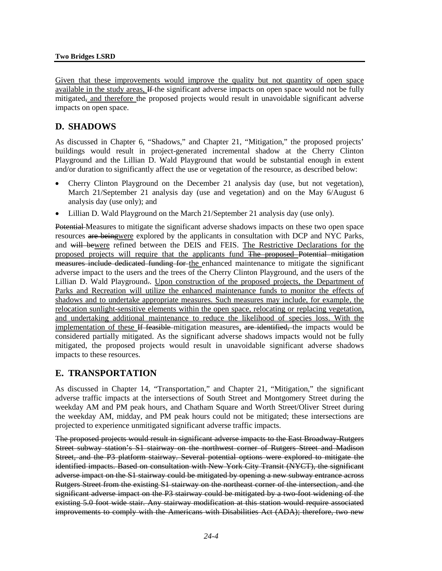Given that these improvements would improve the quality but not quantity of open space available in the study areas, If the significant adverse impacts on open space would not be fully mitigated, and therefore the proposed projects would result in unavoidable significant adverse impacts on open space.

# **D. SHADOWS**

As discussed in Chapter 6, "Shadows," and Chapter 21, "Mitigation," the proposed projects' buildings would result in project-generated incremental shadow at the Cherry Clinton Playground and the Lillian D. Wald Playground that would be substantial enough in extent and/or duration to significantly affect the use or vegetation of the resource, as described below:

- Cherry Clinton Playground on the December 21 analysis day (use, but not vegetation), March 21/September 21 analysis day (use and vegetation) and on the May 6/August 6 analysis day (use only); and
- Lillian D. Wald Playground on the March 21/September 21 analysis day (use only).

Potential Measures to mitigate the significant adverse shadows impacts on these two open space resources are beingwere explored by the applicants in consultation with DCP and NYC Parks, and will bewere refined between the DEIS and FEIS. The Restrictive Declarations for the proposed projects will require that the applicants fund The proposed Potential mitigation measures include dedicated funding for the enhanced maintenance to mitigate the significant adverse impact to the users and the trees of the Cherry Clinton Playground, and the users of the Lillian D. Wald Playground.. Upon construction of the proposed projects, the Department of Parks and Recreation will utilize the enhanced maintenance funds to monitor the effects of shadows and to undertake appropriate measures. Such measures may include, for example, the relocation sunlight-sensitive elements within the open space, relocating or replacing vegetation, and undertaking additional maintenance to reduce the likelihood of species loss. With the implementation of these If feasible mitigation measures, are identified, the impacts would be considered partially mitigated. As the significant adverse shadows impacts would not be fully mitigated, the proposed projects would result in unavoidable significant adverse shadows impacts to these resources.

# **E. TRANSPORTATION**

As discussed in Chapter 14, "Transportation," and Chapter 21, "Mitigation," the significant adverse traffic impacts at the intersections of South Street and Montgomery Street during the weekday AM and PM peak hours, and Chatham Square and Worth Street/Oliver Street during the weekday AM, midday, and PM peak hours could not be mitigated; these intersections are projected to experience unmitigated significant adverse traffic impacts.

The proposed projects would result in significant adverse impacts to the East Broadway-Rutgers Street subway station's S1 stairway on the northwest corner of Rutgers Street and Madison Street, and the P3 platform stairway. Several potential options were explored to mitigate the identified impacts. Based on consultation with New York City Transit (NYCT), the significant adverse impact on the S1 stairway could be mitigated by opening a new subway entrance across Rutgers Street from the existing S1 stairway on the northeast corner of the intersection, and the significant adverse impact on the P3 stairway could be mitigated by a two-foot widening of the existing 5.0 foot wide stair. Any stairway modification at this station would require associated improvements to comply with the Americans with Disabilities Act (ADA); therefore, two new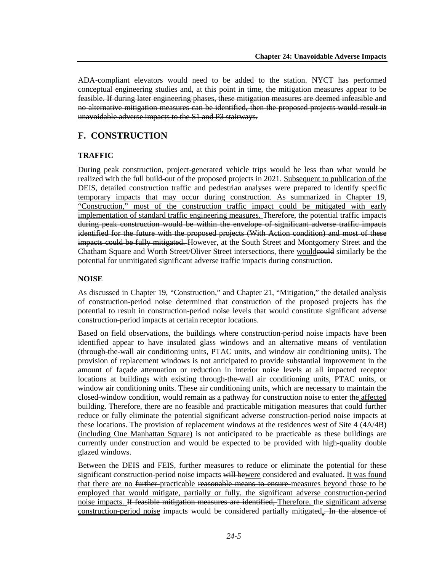ADA-compliant elevators would need to be added to the station. NYCT has performed conceptual engineering studies and, at this point in time, the mitigation measures appear to be feasible. If during later engineering phases, these mitigation measures are deemed infeasible and no alternative mitigation measures can be identified, then the proposed projects would result in unavoidable adverse impacts to the S1 and P3 stairways.

# **F. CONSTRUCTION**

### **TRAFFIC**

During peak construction, project-generated vehicle trips would be less than what would be realized with the full build-out of the proposed projects in 2021. Subsequent to publication of the DEIS, detailed construction traffic and pedestrian analyses were prepared to identify specific temporary impacts that may occur during construction. As summarized in Chapter 19, "Construction," most of the construction traffic impact could be mitigated with early implementation of standard traffic engineering measures. Therefore, the potential traffic impacts during peak construction would be within the envelope of significant adverse traffic impacts identified for the future with the proposed projects (With Action condition) and most of these impacts could be fully mitigated. However, at the South Street and Montgomery Street and the Chatham Square and Worth Street/Oliver Street intersections, there woulder equal similarly be the potential for unmitigated significant adverse traffic impacts during construction.

## **NOISE**

As discussed in Chapter 19, "Construction," and Chapter 21, "Mitigation," the detailed analysis of construction-period noise determined that construction of the proposed projects has the potential to result in construction-period noise levels that would constitute significant adverse construction-period impacts at certain receptor locations.

Based on field observations, the buildings where construction-period noise impacts have been identified appear to have insulated glass windows and an alternative means of ventilation (through-the-wall air conditioning units, PTAC units, and window air conditioning units). The provision of replacement windows is not anticipated to provide substantial improvement in the amount of façade attenuation or reduction in interior noise levels at all impacted receptor locations at buildings with existing through-the-wall air conditioning units, PTAC units, or window air conditioning units. These air conditioning units, which are necessary to maintain the closed-window condition, would remain as a pathway for construction noise to enter the affected building. Therefore, there are no feasible and practicable mitigation measures that could further reduce or fully eliminate the potential significant adverse construction-period noise impacts at these locations. The provision of replacement windows at the residences west of Site 4 (4A/4B) (including One Manhattan Square) is not anticipated to be practicable as these buildings are currently under construction and would be expected to be provided with high-quality double glazed windows.

Between the DEIS and FEIS, further measures to reduce or eliminate the potential for these significant construction-period noise impacts will bewere considered and evaluated. It was found that there are no <del>further</del>-practicable reasonable means to ensure-measures beyond those to be employed that would mitigate, partially or fully, the significant adverse construction-period noise impacts. If feasible mitigation measures are identified. Therefore, the significant adverse construction-period noise impacts would be considered partially mitigated,. In the absence of